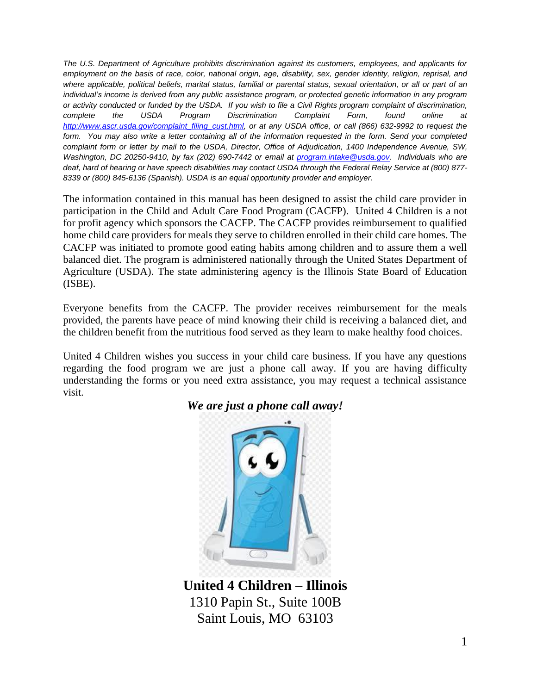*The U.S. Department of Agriculture prohibits discrimination against its customers, employees, and applicants for employment on the basis of race, color, national origin, age, disability, sex, gender identity, religion, reprisal, and where applicable, political beliefs, marital status, familial or parental status, sexual orientation, or all or part of an individual's income is derived from any public assistance program, or protected genetic information in any program or activity conducted or funded by the USDA. If you wish to file a Civil Rights program complaint of discrimination, complete the USDA Program Discrimination Complaint Form, found online at [http://www.ascr.usda.gov/complaint\\_filing\\_cust.html,](http://www.ascr.usda.gov/complaint_filing_cust.html) or at any USDA office, or call (866) 632-9992 to request the*  form. You may also write a letter containing all of the information requested in the form. Send your completed *complaint form or letter by mail to the USDA, Director, Office of Adjudication, 1400 Independence Avenue, SW, Washington, DC 20250-9410, by fax (202) 690-7442 or email at [program.intake@usda.gov.](file://///spr3/allfolks/CACFP/CACFP-Homes%20Information/2013%20application%20process/FY13%20Policy%20Memos/program.intake@usda.gov) Individuals who are deaf, hard of hearing or have speech disabilities may contact USDA through the Federal Relay Service at (800) 877- 8339 or (800) 845-6136 (Spanish). USDA is an equal opportunity provider and employer.*

The information contained in this manual has been designed to assist the child care provider in participation in the Child and Adult Care Food Program (CACFP). United 4 Children is a not for profit agency which sponsors the CACFP. The CACFP provides reimbursement to qualified home child care providers for meals they serve to children enrolled in their child care homes. The CACFP was initiated to promote good eating habits among children and to assure them a well balanced diet. The program is administered nationally through the United States Department of Agriculture (USDA). The state administering agency is the Illinois State Board of Education (ISBE).

Everyone benefits from the CACFP. The provider receives reimbursement for the meals provided, the parents have peace of mind knowing their child is receiving a balanced diet, and the children benefit from the nutritious food served as they learn to make healthy food choices.

United 4 Children wishes you success in your child care business. If you have any questions regarding the food program we are just a phone call away. If you are having difficulty understanding the forms or you need extra assistance, you may request a technical assistance visit.



#### *We are just a phone call away!*

**United 4 Children – Illinois** 1310 Papin St., Suite 100B Saint Louis, MO 63103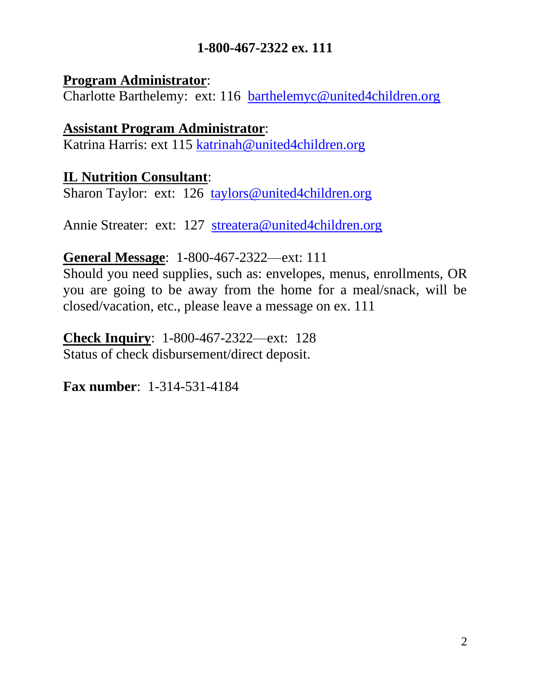#### **1-800-467-2322 ex. 111**

#### **Program Administrator**:

Charlotte Barthelemy: ext: 116 [barthelemyc@united4children.org](mailto:barthelemyc@united4children.org)

#### **Assistant Program Administrator**:

Katrina Harris: ext 115 [katrinah@united4children.org](mailto:KATRINAH@united4children.org)

#### **IL Nutrition Consultant**:

Sharon Taylor: ext: 126 [taylors@united4children.org](mailto:taylors@united4children.org)

Annie Streater: ext: 127 [streatera@united4children.org](mailto:streatera@united4children.org)

#### **General Message**: 1-800-467-2322—ext: 111

Should you need supplies, such as: envelopes, menus, enrollments, OR you are going to be away from the home for a meal/snack, will be closed/vacation, etc., please leave a message on ex. 111

**Check Inquiry**: 1-800-467-2322—ext: 128 Status of check disbursement/direct deposit.

**Fax number**: 1-314-531-4184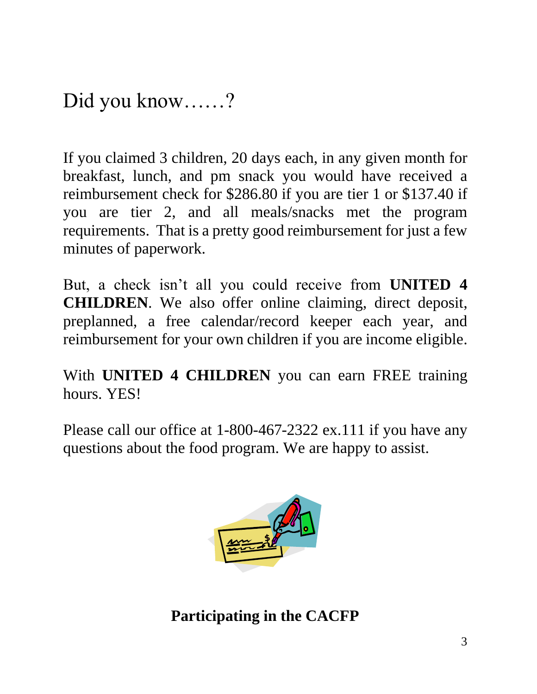Did you know……?

If you claimed 3 children, 20 days each, in any given month for breakfast, lunch, and pm snack you would have received a reimbursement check for \$286.80 if you are tier 1 or \$137.40 if you are tier 2, and all meals/snacks met the program requirements. That is a pretty good reimbursement for just a few minutes of paperwork.

But, a check isn't all you could receive from **UNITED 4 CHILDREN**. We also offer online claiming, direct deposit, preplanned, a free calendar/record keeper each year, and reimbursement for your own children if you are income eligible.

With **UNITED 4 CHILDREN** you can earn FREE training hours. YES!

Please call our office at 1-800-467-2322 ex.111 if you have any questions about the food program. We are happy to assist.



**Participating in the CACFP**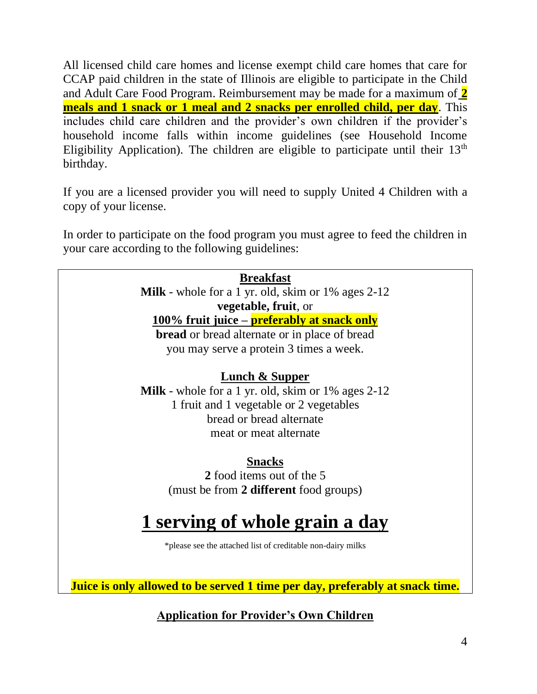All licensed child care homes and license exempt child care homes that care for CCAP paid children in the state of Illinois are eligible to participate in the Child and Adult Care Food Program. Reimbursement may be made for a maximum of **2 meals and 1 snack or 1 meal and 2 snacks per enrolled child, per day**. This includes child care children and the provider's own children if the provider's household income falls within income guidelines (see Household Income Eligibility Application). The children are eligible to participate until their  $13<sup>th</sup>$ birthday.

If you are a licensed provider you will need to supply United 4 Children with a copy of your license.

In order to participate on the food program you must agree to feed the children in your care according to the following guidelines:

| <b>Breakfast</b>                                                             |
|------------------------------------------------------------------------------|
| <b>Milk</b> - whole for a 1 yr. old, skim or $1\%$ ages 2-12                 |
| vegetable, fruit, or                                                         |
| 100% fruit juice – <b>preferably at snack only</b>                           |
| <b>bread</b> or bread alternate or in place of bread                         |
| you may serve a protein 3 times a week.                                      |
|                                                                              |
| Lunch & Supper                                                               |
| <b>Milk</b> - whole for a 1 yr. old, skim or $1\%$ ages $2-12$               |
| 1 fruit and 1 vegetable or 2 vegetables                                      |
| bread or bread alternate                                                     |
| meat or meat alternate                                                       |
|                                                                              |
| <b>Snacks</b>                                                                |
| 2 food items out of the 5                                                    |
| (must be from 2 different food groups)                                       |
|                                                                              |
| 1 serving of whole grain a day                                               |
| *please see the attached list of creditable non-dairy milks                  |
|                                                                              |
|                                                                              |
| Juice is only allowed to be served 1 time per day, preferably at snack time. |

**Application for Provider's Own Children**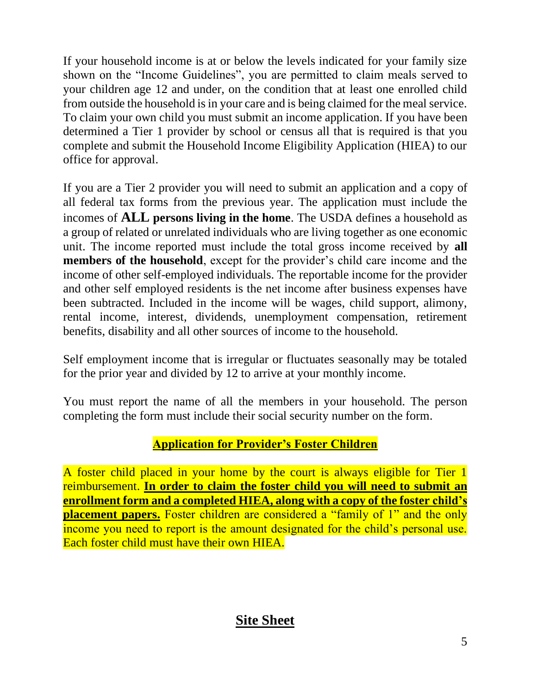If your household income is at or below the levels indicated for your family size shown on the "Income Guidelines", you are permitted to claim meals served to your children age 12 and under, on the condition that at least one enrolled child from outside the household is in your care and is being claimed for the meal service. To claim your own child you must submit an income application. If you have been determined a Tier 1 provider by school or census all that is required is that you complete and submit the Household Income Eligibility Application (HIEA) to our office for approval.

If you are a Tier 2 provider you will need to submit an application and a copy of all federal tax forms from the previous year. The application must include the incomes of **ALL persons living in the home**. The USDA defines a household as a group of related or unrelated individuals who are living together as one economic unit. The income reported must include the total gross income received by **all members of the household**, except for the provider's child care income and the income of other self-employed individuals. The reportable income for the provider and other self employed residents is the net income after business expenses have been subtracted. Included in the income will be wages, child support, alimony, rental income, interest, dividends, unemployment compensation, retirement benefits, disability and all other sources of income to the household.

Self employment income that is irregular or fluctuates seasonally may be totaled for the prior year and divided by 12 to arrive at your monthly income.

You must report the name of all the members in your household. The person completing the form must include their social security number on the form.

#### **Application for Provider's Foster Children**

A foster child placed in your home by the court is always eligible for Tier 1 reimbursement. **In order to claim the foster child you will need to submit an enrollment form and a completed HIEA, along with a copy of the foster child's placement papers.** Foster children are considered a "family of 1" and the only income you need to report is the amount designated for the child's personal use. Each foster child must have their own HIEA.

# **Site Sheet**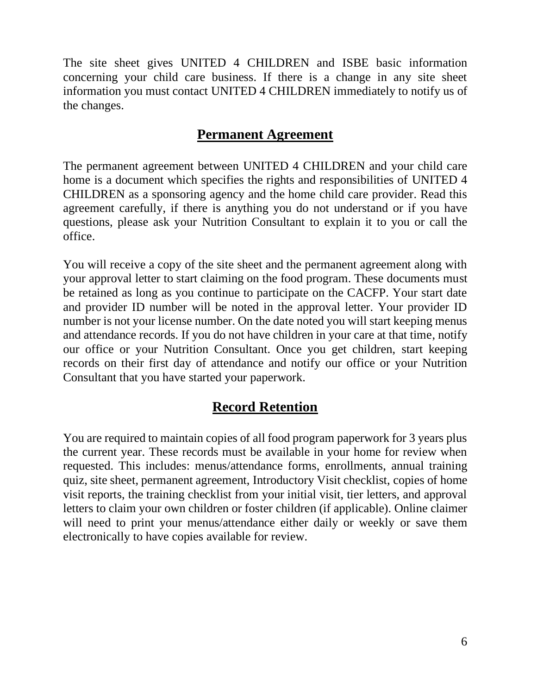The site sheet gives UNITED 4 CHILDREN and ISBE basic information concerning your child care business. If there is a change in any site sheet information you must contact UNITED 4 CHILDREN immediately to notify us of the changes.

#### **Permanent Agreement**

The permanent agreement between UNITED 4 CHILDREN and your child care home is a document which specifies the rights and responsibilities of UNITED 4 CHILDREN as a sponsoring agency and the home child care provider. Read this agreement carefully, if there is anything you do not understand or if you have questions, please ask your Nutrition Consultant to explain it to you or call the office.

You will receive a copy of the site sheet and the permanent agreement along with your approval letter to start claiming on the food program. These documents must be retained as long as you continue to participate on the CACFP. Your start date and provider ID number will be noted in the approval letter. Your provider ID number is not your license number. On the date noted you will start keeping menus and attendance records. If you do not have children in your care at that time, notify our office or your Nutrition Consultant. Once you get children, start keeping records on their first day of attendance and notify our office or your Nutrition Consultant that you have started your paperwork.

#### **Record Retention**

You are required to maintain copies of all food program paperwork for 3 years plus the current year. These records must be available in your home for review when requested. This includes: menus/attendance forms, enrollments, annual training quiz, site sheet, permanent agreement, Introductory Visit checklist, copies of home visit reports, the training checklist from your initial visit, tier letters, and approval letters to claim your own children or foster children (if applicable). Online claimer will need to print your menus/attendance either daily or weekly or save them electronically to have copies available for review.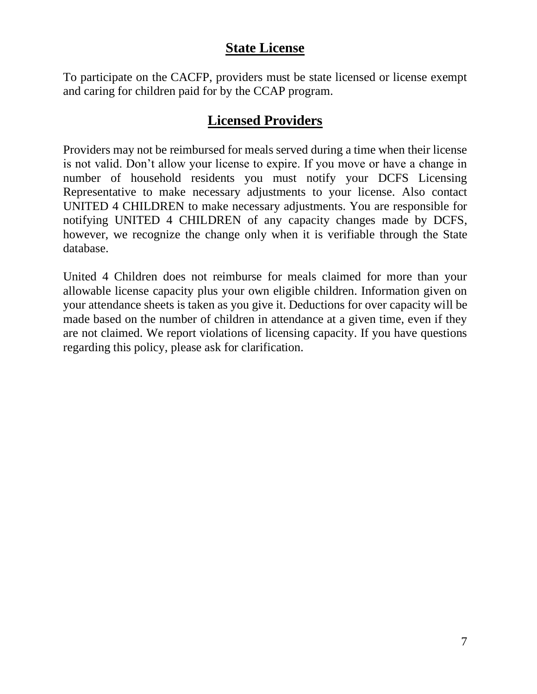#### **State License**

To participate on the CACFP, providers must be state licensed or license exempt and caring for children paid for by the CCAP program.

#### **Licensed Providers**

Providers may not be reimbursed for meals served during a time when their license is not valid. Don't allow your license to expire. If you move or have a change in number of household residents you must notify your DCFS Licensing Representative to make necessary adjustments to your license. Also contact UNITED 4 CHILDREN to make necessary adjustments. You are responsible for notifying UNITED 4 CHILDREN of any capacity changes made by DCFS, however, we recognize the change only when it is verifiable through the State database.

United 4 Children does not reimburse for meals claimed for more than your allowable license capacity plus your own eligible children. Information given on your attendance sheets is taken as you give it. Deductions for over capacity will be made based on the number of children in attendance at a given time, even if they are not claimed. We report violations of licensing capacity. If you have questions regarding this policy, please ask for clarification.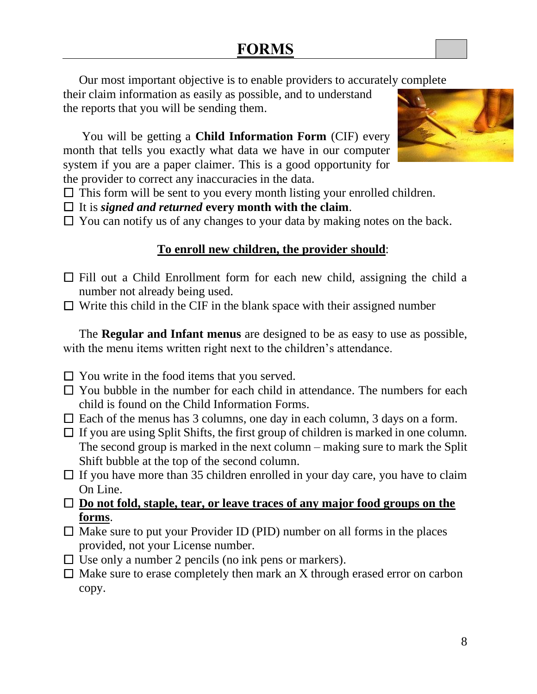Our most important objective is to enable providers to accurately complete

their claim information as easily as possible, and to understand the reports that you will be sending them.

You will be getting a **Child Information Form** (CIF) every month that tells you exactly what data we have in our computer system if you are a paper claimer. This is a good opportunity for the provider to correct any inaccuracies in the data.

- $\Box$  This form will be sent to you every month listing your enrolled children.
- $\Box$  It is *signed and returned* every month with the claim.
- $\Box$  You can notify us of any changes to your data by making notes on the back.

#### **To enroll new children, the provider should**:

- $\Box$  Fill out a Child Enrollment form for each new child, assigning the child a number not already being used.
- $\Box$  Write this child in the CIF in the blank space with their assigned number

The **Regular and Infant menus** are designed to be as easy to use as possible, with the menu items written right next to the children's attendance.

- $\Box$  You write in the food items that you served.
- $\Box$  You bubble in the number for each child in attendance. The numbers for each child is found on the Child Information Forms.
- $\Box$  Each of the menus has 3 columns, one day in each column, 3 days on a form.
- $\Box$  If you are using Split Shifts, the first group of children is marked in one column. The second group is marked in the next column – making sure to mark the Split Shift bubble at the top of the second column.
- $\Box$  If you have more than 35 children enrolled in your day care, you have to claim On Line.
- □ **Do not fold, staple, tear, or leave traces of any major food groups on the forms**.
- $\Box$  Make sure to put your Provider ID (PID) number on all forms in the places provided, not your License number.
- $\Box$  Use only a number 2 pencils (no ink pens or markers).
- $\Box$  Make sure to erase completely then mark an X through erased error on carbon copy.

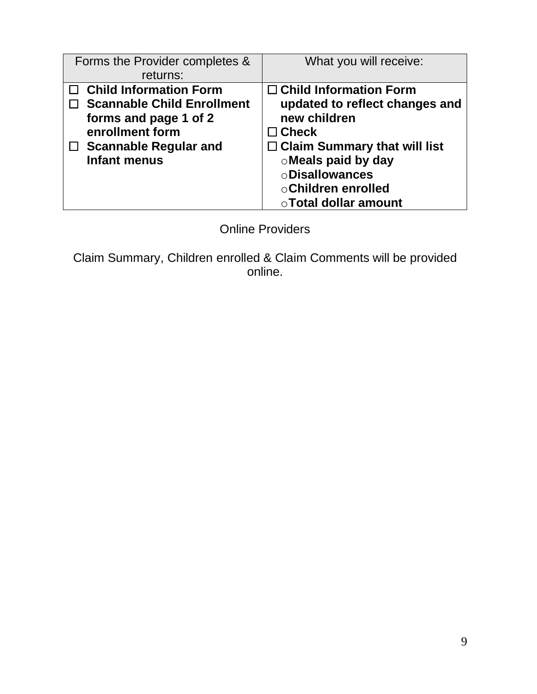| Forms the Provider completes &<br>returns:                                                                                                                            | What you will receive:                                                                                                                                                                                                                 |
|-----------------------------------------------------------------------------------------------------------------------------------------------------------------------|----------------------------------------------------------------------------------------------------------------------------------------------------------------------------------------------------------------------------------------|
| <b>Child Information Form</b><br><b>Scannable Child Enrollment</b><br>forms and page 1 of 2<br>enrollment form<br><b>Scannable Regular and</b><br><b>Infant menus</b> | $\Box$ Child Information Form<br>updated to reflect changes and<br>new children<br>$\Box$ Check<br>$\Box$ Claim Summary that will list<br>o Meals paid by day<br><b>ODisallowances</b><br>○ Children enrolled<br>○ Total dollar amount |

Online Providers

Claim Summary, Children enrolled & Claim Comments will be provided online.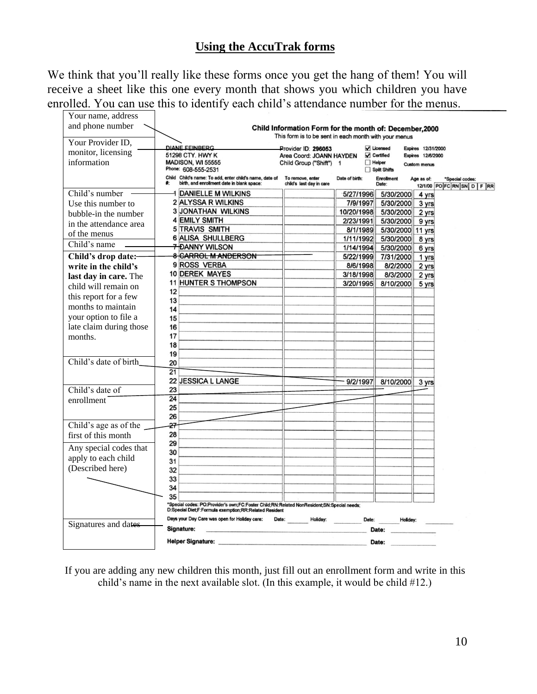#### **Using the AccuTrak forms**

We think that you'll really like these forms once you get the hang of them! You will receive a sheet like this one every month that shows you which children you have enrolled. You can use this to identify each child's attendance number for the menus.

| Your name, address      |                                                                                                            |                                                         |                |                                |                          |                                               |
|-------------------------|------------------------------------------------------------------------------------------------------------|---------------------------------------------------------|----------------|--------------------------------|--------------------------|-----------------------------------------------|
| and phone number        |                                                                                                            | Child Information Form for the month of: December, 2000 |                |                                |                          |                                               |
|                         |                                                                                                            | This form is to be sent in each month with your menus   |                |                                |                          |                                               |
| Your Provider ID,       | <b>DIANE FEINBERG</b>                                                                                      | Provider ID: 296053                                     |                | V Licensed                     | Expires 12/31/2000       |                                               |
| monitor, licensing      | 51298 CTY. HWY K                                                                                           | Area Coord: JOANN HAYDEN                                |                | $\sqrt{\phantom{a}}$ Certified | <b>Expires 12/6/2000</b> |                                               |
| information             | <b>MADISON, WI 55555</b><br>Phone: 608-555-2531                                                            | Child Group ("Shift") 1                                 |                | $\Box$ Helper<br>Split Shifts  | <b>Custom menus</b>      |                                               |
|                         | Child Child's name: To add, enter child's name, date of<br>birth, and enrollment date in blank space:<br>* | To remove, enter<br>child's last day in care            | Date of birth: | <b>Enrollment</b><br>Date:     | Age as of:               | *Special codes:<br>12/1/00 PO FC RN SN D F RR |
| Child's number          | DANIELLE M WILKINS                                                                                         |                                                         | 5/27/1996      | 5/30/2000                      | 4 yrs                    |                                               |
| Use this number to      | 2 ALYSSA R WILKINS                                                                                         |                                                         | 7/9/1997       | 5/30/2000                      | 3 yrs                    |                                               |
| bubble-in the number    | <b>3 JONATHAN WILKINS</b>                                                                                  |                                                         | 10/20/1998     | 5/30/2000                      | 2 yrs                    |                                               |
| in the attendance area  | <b>4 EMILY SMITH</b>                                                                                       |                                                         | 2/23/1991      | 5/30/2000                      | 9 yrs                    |                                               |
| of the menus            | <b>5 TRAVIS SMITH</b>                                                                                      |                                                         | 8/1/1989       | 5/30/2000 11 yrs               |                          |                                               |
|                         | <b>6 ALISA SHULLBERG</b>                                                                                   |                                                         | 1/11/1992      | 5/30/2000                      | 8 yrs                    |                                               |
| Child's name            | <b>7 DANNY WILSON</b>                                                                                      |                                                         | 1/14/1994      | 5/30/2000                      | 6 yrs                    |                                               |
| Child's drop date:-     | 8 CARROL M ANDERSON                                                                                        |                                                         | 5/22/1999      | 7/31/2000                      | 1 yrs                    |                                               |
| write in the child's    | 9 ROSS VERBA                                                                                               |                                                         | 8/6/1998       | 8/2/2000                       | 2 yrs                    |                                               |
| last day in care. The   | <b>10 DEREK MAYES</b>                                                                                      |                                                         | 3/18/1998      | 8/3/2000                       | 2 yrs                    |                                               |
| child will remain on    | <b>11 HUNTER S THOMPSON</b>                                                                                |                                                         | 3/20/1995      | 8/10/2000                      | 5 yrs                    |                                               |
| this report for a few   | 12<br>13                                                                                                   |                                                         |                |                                |                          |                                               |
| months to maintain      | 14                                                                                                         |                                                         |                |                                |                          |                                               |
| your option to file a   | 15                                                                                                         |                                                         |                |                                |                          |                                               |
| late claim during those | 16                                                                                                         |                                                         |                |                                |                          |                                               |
| months.                 | 17                                                                                                         |                                                         |                |                                |                          |                                               |
|                         | 18                                                                                                         |                                                         |                |                                |                          |                                               |
|                         | 19                                                                                                         |                                                         |                |                                |                          |                                               |
| Child's date of birth   | 20                                                                                                         |                                                         |                |                                |                          |                                               |
|                         | 21                                                                                                         |                                                         |                |                                |                          |                                               |
|                         | 22 JESSICA L LANGE                                                                                         |                                                         | 9/2/1997       | 8/10/2000                      | 3 yrs                    |                                               |
| Child's date of         | 23                                                                                                         |                                                         |                |                                |                          |                                               |
| enrollment              | 24                                                                                                         |                                                         |                |                                |                          |                                               |
|                         | 25                                                                                                         |                                                         |                |                                |                          |                                               |
|                         | 26                                                                                                         |                                                         |                |                                |                          |                                               |
| Child's age as of the   | 27                                                                                                         |                                                         |                |                                |                          |                                               |
| first of this month     | 28                                                                                                         |                                                         |                |                                |                          |                                               |
| Any special codes that  | 29                                                                                                         |                                                         |                |                                |                          |                                               |
| apply to each child     | 30                                                                                                         |                                                         |                |                                |                          |                                               |
| (Described here)        | 31                                                                                                         |                                                         |                |                                |                          |                                               |
|                         | 32                                                                                                         |                                                         |                |                                |                          |                                               |
|                         | 33<br>34                                                                                                   |                                                         |                |                                |                          |                                               |
|                         | 35                                                                                                         |                                                         |                |                                |                          |                                               |
|                         | *Special codes: PO:Provider's own;FC:Foster Child;RN:Related NonResident;SN:Special needs;                 |                                                         |                |                                |                          |                                               |
|                         | D:Special Diet;F:Formula exemption;RR:Related Resident                                                     |                                                         |                |                                |                          |                                               |
| Signatures and dates    | Days your Day Care was open for Holiday care:                                                              | Date:<br>Holiday:                                       | Date:          | Holiday:                       |                          |                                               |
|                         | Signature:                                                                                                 |                                                         |                | Date:                          |                          |                                               |
|                         | <b>Helper Signature:</b>                                                                                   |                                                         |                | Date:                          |                          |                                               |

If you are adding any new children this month, just fill out an enrollment form and write in this child's name in the next available slot. (In this example, it would be child #12.)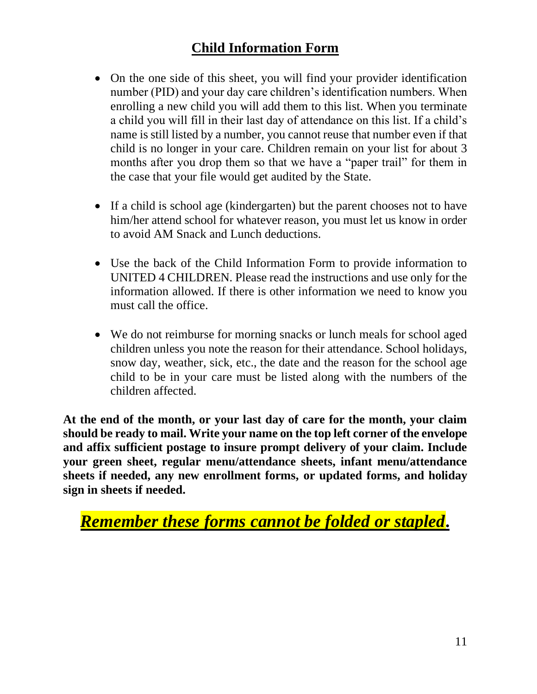#### **Child Information Form**

- On the one side of this sheet, you will find your provider identification number (PID) and your day care children's identification numbers. When enrolling a new child you will add them to this list. When you terminate a child you will fill in their last day of attendance on this list. If a child's name is still listed by a number, you cannot reuse that number even if that child is no longer in your care. Children remain on your list for about 3 months after you drop them so that we have a "paper trail" for them in the case that your file would get audited by the State.
- If a child is school age (kindergarten) but the parent chooses not to have him/her attend school for whatever reason, you must let us know in order to avoid AM Snack and Lunch deductions.
- Use the back of the Child Information Form to provide information to UNITED 4 CHILDREN. Please read the instructions and use only for the information allowed. If there is other information we need to know you must call the office.
- We do not reimburse for morning snacks or lunch meals for school aged children unless you note the reason for their attendance. School holidays, snow day, weather, sick, etc., the date and the reason for the school age child to be in your care must be listed along with the numbers of the children affected.

**At the end of the month, or your last day of care for the month, your claim should be ready to mail. Write your name on the top left corner of the envelope and affix sufficient postage to insure prompt delivery of your claim. Include your green sheet, regular menu/attendance sheets, infant menu/attendance sheets if needed, any new enrollment forms, or updated forms, and holiday sign in sheets if needed.**

*Remember these forms cannot be folded or stapled***.**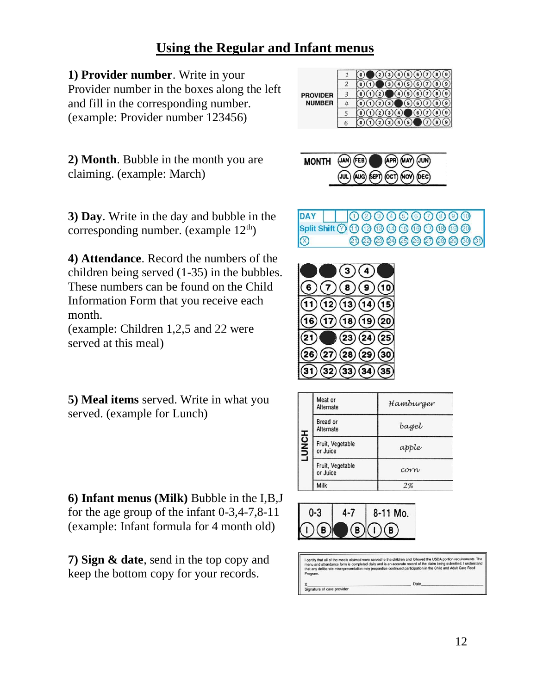#### **Using the Regular and Infant menus**

**1) Provider number**. Write in your Provider number in the boxes along the left and fill in the corresponding number. (example: Provider number 123456)

| <b>PROVIDER</b> |   |  |
|-----------------|---|--|
|                 |   |  |
| <b>NUMBER</b>   |   |  |
|                 |   |  |
|                 | 6 |  |

**2) Month**. Bubble in the month you are claiming. (example: March)

**3) Day**. Write in the day and bubble in the corresponding number. (example  $12<sup>th</sup>$ )

**4) Attendance**. Record the numbers of the children being served (1-35) in the bubbles. These numbers can be found on the Child Information Form that you receive each month.

(example: Children 1,2,5 and 22 were served at this meal)

**5) Meal items** served. Write in what you served. (example for Lunch)

**6) Infant menus (Milk)** Bubble in the I,B,J for the age group of the infant 0-3,4-7,8-11 (example: Infant formula for 4 month old)

**7) Sign & date**, send in the top copy and keep the bottom copy for your records.



**DAY** 000060000 00000000000  $\infty$ 



|              | Meat or<br>Alternate         | Hamburger |
|--------------|------------------------------|-----------|
|              | Bread or<br>Alternate        | baget     |
| <b>LUNCH</b> | Fruit, Vegetable<br>or Juice | apple     |
|              | Fruit, Vegetable<br>or Juice | corrw     |
|              | Milk                         | 2%        |



Signature of care provider

ved the USDA portion requ ed. I under in the Child and Adult Care For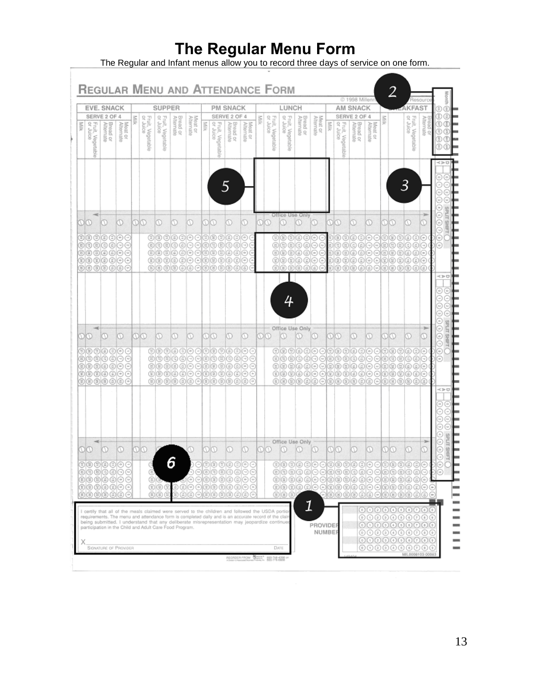# **The Regular Menu Form**

The Regular and Infant menus allow you to record three days of service on one form.

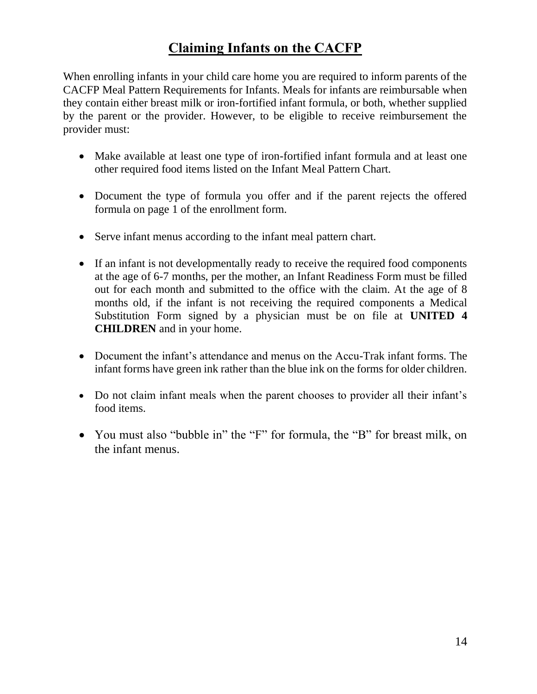# **Claiming Infants on the CACFP**

When enrolling infants in your child care home you are required to inform parents of the CACFP Meal Pattern Requirements for Infants. Meals for infants are reimbursable when they contain either breast milk or iron-fortified infant formula, or both, whether supplied by the parent or the provider. However, to be eligible to receive reimbursement the provider must:

- Make available at least one type of iron-fortified infant formula and at least one other required food items listed on the Infant Meal Pattern Chart.
- Document the type of formula you offer and if the parent rejects the offered formula on page 1 of the enrollment form.
- Serve infant menus according to the infant meal pattern chart.
- If an infant is not developmentally ready to receive the required food components at the age of 6-7 months, per the mother, an Infant Readiness Form must be filled out for each month and submitted to the office with the claim. At the age of 8 months old, if the infant is not receiving the required components a Medical Substitution Form signed by a physician must be on file at **UNITED 4 CHILDREN** and in your home.
- Document the infant's attendance and menus on the Accu-Trak infant forms. The infant forms have green ink rather than the blue ink on the forms for older children.
- Do not claim infant meals when the parent chooses to provider all their infant's food items.
- You must also "bubble in" the "F" for formula, the "B" for breast milk, on the infant menus.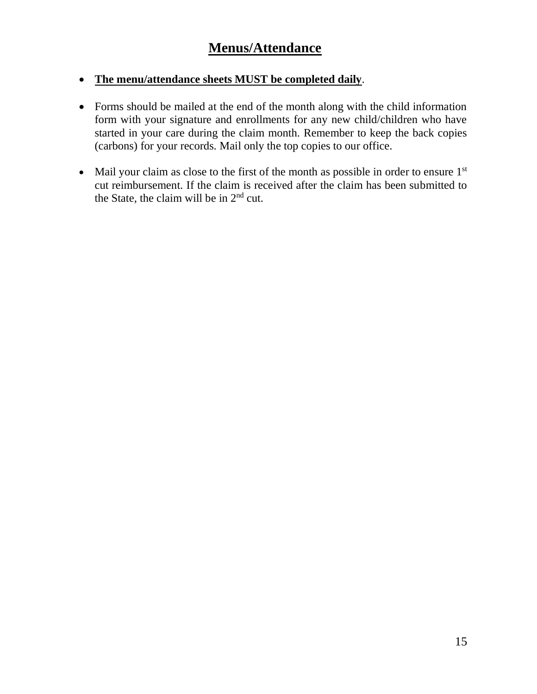#### • **The menu/attendance sheets MUST be completed daily**.

- Forms should be mailed at the end of the month along with the child information form with your signature and enrollments for any new child/children who have started in your care during the claim month. Remember to keep the back copies (carbons) for your records. Mail only the top copies to our office.
- Mail your claim as close to the first of the month as possible in order to ensure  $1<sup>st</sup>$ cut reimbursement. If the claim is received after the claim has been submitted to the State, the claim will be in  $2<sup>nd</sup>$  cut.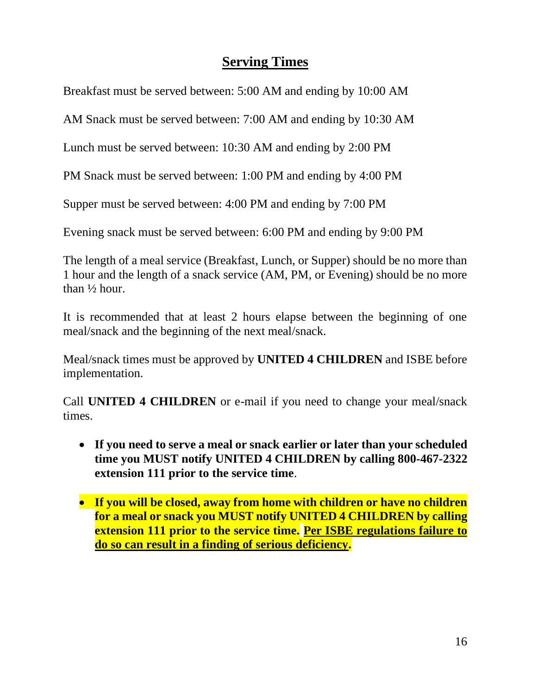#### **Serving Times**

Breakfast must be served between: 5:00 AM and ending by 10:00 AM

AM Snack must be served between: 7:00 AM and ending by 10:30 AM

Lunch must be served between: 10:30 AM and ending by 2:00 PM

PM Snack must be served between: 1:00 PM and ending by 4:00 PM

Supper must be served between: 4:00 PM and ending by 7:00 PM

Evening snack must be served between: 6:00 PM and ending by 9:00 PM

The length of a meal service (Breakfast, Lunch, or Supper) should be no more than 1 hour and the length of a snack service (AM, PM, or Evening) should be no more than ½ hour.

It is recommended that at least 2 hours elapse between the beginning of one meal/snack and the beginning of the next meal/snack.

Meal/snack times must be approved by **UNITED 4 CHILDREN** and ISBE before implementation.

Call **UNITED 4 CHILDREN** or e-mail if you need to change your meal/snack times.

- **If you need to serve a meal or snack earlier or later than your scheduled time you MUST notify UNITED 4 CHILDREN by calling 800-467-2322 extension 111 prior to the service time**.
- **If you will be closed, away from home with children or have no children for a meal or snack you MUST notify UNITED 4 CHILDREN by calling extension 111 prior to the service time. Per ISBE regulations failure to do so can result in a finding of serious deficiency.**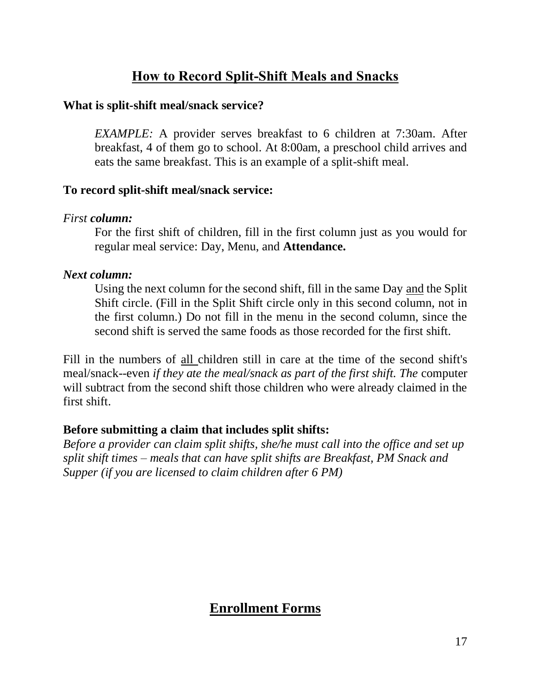# **How to Record Split-Shift Meals and Snacks**

#### **What is split-shift meal/snack service?**

*EXAMPLE:* A provider serves breakfast to 6 children at 7:30am. After breakfast, 4 of them go to school. At 8:00am, a preschool child arrives and eats the same breakfast. This is an example of a split-shift meal.

#### **To record split-shift meal/snack service:**

#### *First column:*

For the first shift of children, fill in the first column just as you would for regular meal service: Day, Menu, and **Attendance.**

#### *Next column:*

Using the next column for the second shift, fill in the same Day and the Split Shift circle. (Fill in the Split Shift circle only in this second column, not in the first column.) Do not fill in the menu in the second column, since the second shift is served the same foods as those recorded for the first shift.

Fill in the numbers of all children still in care at the time of the second shift's meal/snack--even *if they ate the meal/snack as part of the first shift. The* computer will subtract from the second shift those children who were already claimed in the first shift.

#### **Before submitting a claim that includes split shifts:**

*Before a provider can claim split shifts, she/he must call into the office and set up split shift times – meals that can have split shifts are Breakfast, PM Snack and Supper (if you are licensed to claim children after 6 PM)*

#### **Enrollment Forms**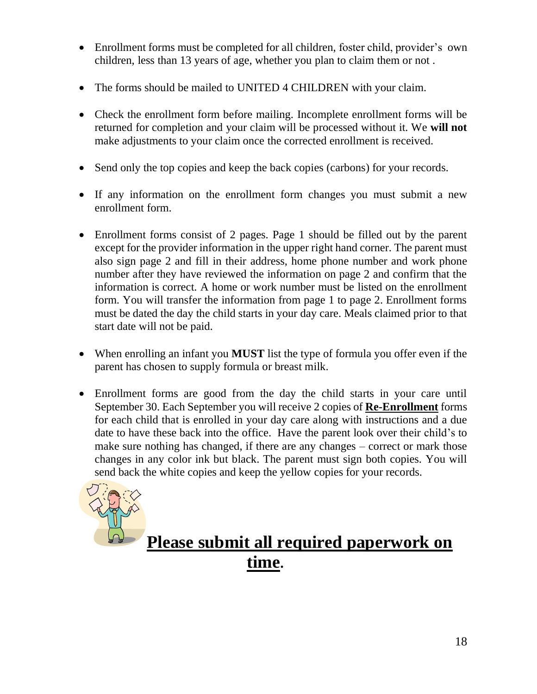- Enrollment forms must be completed for all children, foster child, provider's own children, less than 13 years of age, whether you plan to claim them or not .
- The forms should be mailed to UNITED 4 CHILDREN with your claim.
- Check the enrollment form before mailing. Incomplete enrollment forms will be returned for completion and your claim will be processed without it. We **will not** make adjustments to your claim once the corrected enrollment is received.
- Send only the top copies and keep the back copies (carbons) for your records.
- If any information on the enrollment form changes you must submit a new enrollment form.
- Enrollment forms consist of 2 pages. Page 1 should be filled out by the parent except for the provider information in the upper right hand corner. The parent must also sign page 2 and fill in their address, home phone number and work phone number after they have reviewed the information on page 2 and confirm that the information is correct. A home or work number must be listed on the enrollment form. You will transfer the information from page 1 to page 2. Enrollment forms must be dated the day the child starts in your day care. Meals claimed prior to that start date will not be paid.
- When enrolling an infant you **MUST** list the type of formula you offer even if the parent has chosen to supply formula or breast milk.
- Enrollment forms are good from the day the child starts in your care until September 30. Each September you will receive 2 copies of **Re-Enrollment** forms for each child that is enrolled in your day care along with instructions and a due date to have these back into the office. Have the parent look over their child's to make sure nothing has changed, if there are any changes – correct or mark those changes in any color ink but black. The parent must sign both copies. You will send back the white copies and keep the yellow copies for your records.



# **Please submit all required paperwork on time.**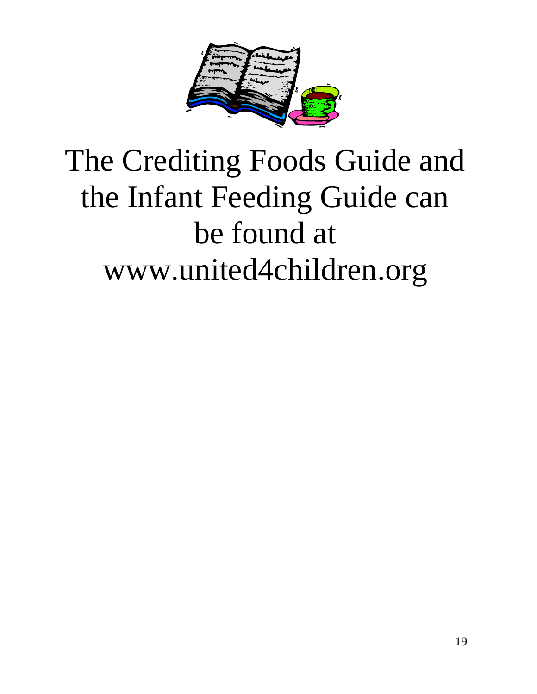

# The Crediting Foods Guide and the Infant Feeding Guide can be found at www.united4children.org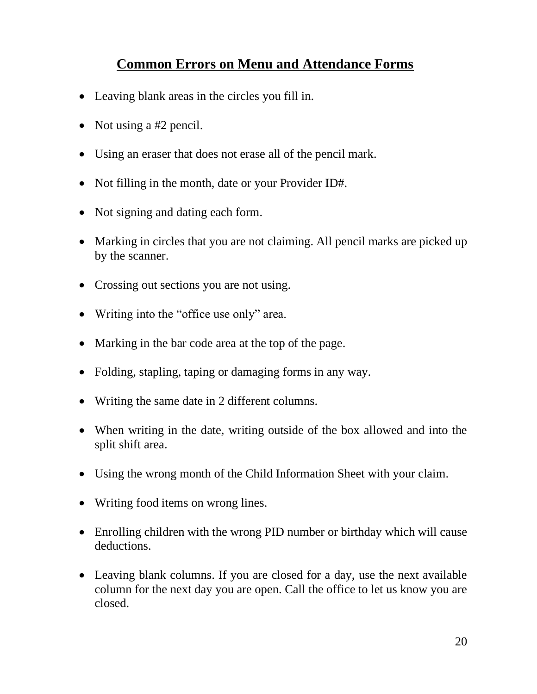# **Common Errors on Menu and Attendance Forms**

- Leaving blank areas in the circles you fill in.
- Not using a #2 pencil.
- Using an eraser that does not erase all of the pencil mark.
- Not filling in the month, date or your Provider ID#.
- Not signing and dating each form.
- Marking in circles that you are not claiming. All pencil marks are picked up by the scanner.
- Crossing out sections you are not using.
- Writing into the "office use only" area.
- Marking in the bar code area at the top of the page.
- Folding, stapling, taping or damaging forms in any way.
- Writing the same date in 2 different columns.
- When writing in the date, writing outside of the box allowed and into the split shift area.
- Using the wrong month of the Child Information Sheet with your claim.
- Writing food items on wrong lines.
- Enrolling children with the wrong PID number or birthday which will cause deductions.
- Leaving blank columns. If you are closed for a day, use the next available column for the next day you are open. Call the office to let us know you are closed.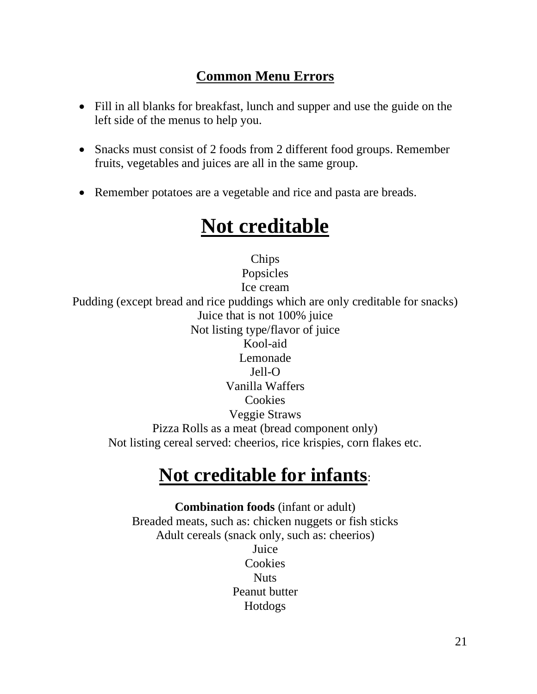#### **Common Menu Errors**

- Fill in all blanks for breakfast, lunch and supper and use the guide on the left side of the menus to help you.
- Snacks must consist of 2 foods from 2 different food groups. Remember fruits, vegetables and juices are all in the same group.
- Remember potatoes are a vegetable and rice and pasta are breads.

# **Not creditable**

Chips Popsicles Ice cream Pudding (except bread and rice puddings which are only creditable for snacks) Juice that is not 100% juice Not listing type/flavor of juice Kool-aid Lemonade Jell-O Vanilla Waffers Cookies Veggie Straws Pizza Rolls as a meat (bread component only) Not listing cereal served: cheerios, rice krispies, corn flakes etc.

# **Not creditable for infants**:

**Combination foods** (infant or adult) Breaded meats, such as: chicken nuggets or fish sticks Adult cereals (snack only, such as: cheerios) Juice Cookies Nuts Peanut butter Hotdogs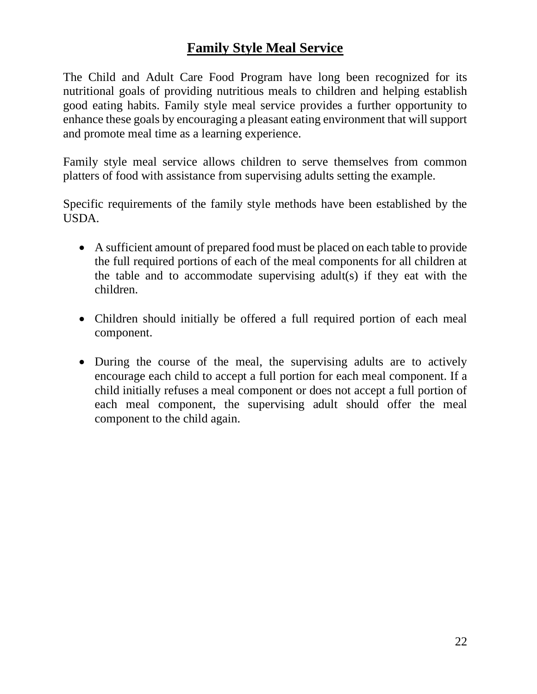#### **Family Style Meal Service**

The Child and Adult Care Food Program have long been recognized for its nutritional goals of providing nutritious meals to children and helping establish good eating habits. Family style meal service provides a further opportunity to enhance these goals by encouraging a pleasant eating environment that will support and promote meal time as a learning experience.

Family style meal service allows children to serve themselves from common platters of food with assistance from supervising adults setting the example.

Specific requirements of the family style methods have been established by the USDA.

- A sufficient amount of prepared food must be placed on each table to provide the full required portions of each of the meal components for all children at the table and to accommodate supervising adult(s) if they eat with the children.
- Children should initially be offered a full required portion of each meal component.
- During the course of the meal, the supervising adults are to actively encourage each child to accept a full portion for each meal component. If a child initially refuses a meal component or does not accept a full portion of each meal component, the supervising adult should offer the meal component to the child again.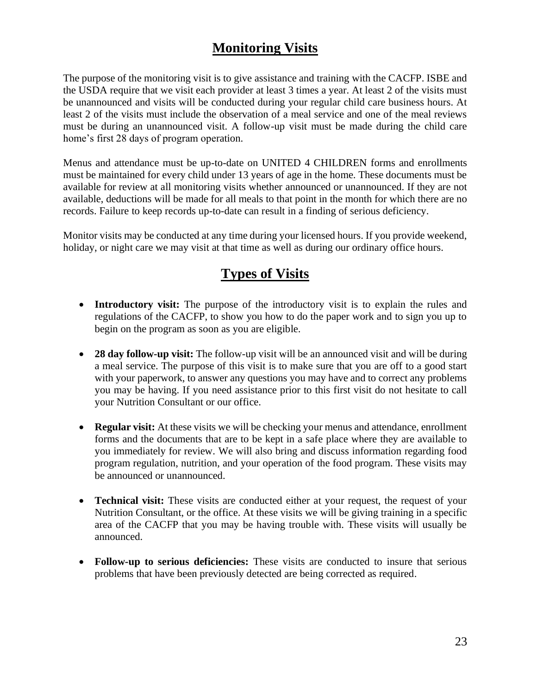#### **Monitoring Visits**

The purpose of the monitoring visit is to give assistance and training with the CACFP. ISBE and the USDA require that we visit each provider at least 3 times a year. At least 2 of the visits must be unannounced and visits will be conducted during your regular child care business hours. At least 2 of the visits must include the observation of a meal service and one of the meal reviews must be during an unannounced visit. A follow-up visit must be made during the child care home's first 28 days of program operation.

Menus and attendance must be up-to-date on UNITED 4 CHILDREN forms and enrollments must be maintained for every child under 13 years of age in the home. These documents must be available for review at all monitoring visits whether announced or unannounced. If they are not available, deductions will be made for all meals to that point in the month for which there are no records. Failure to keep records up-to-date can result in a finding of serious deficiency.

Monitor visits may be conducted at any time during your licensed hours. If you provide weekend, holiday, or night care we may visit at that time as well as during our ordinary office hours.

#### **Types of Visits**

- **Introductory visit:** The purpose of the introductory visit is to explain the rules and regulations of the CACFP, to show you how to do the paper work and to sign you up to begin on the program as soon as you are eligible.
- **28 day follow-up visit:** The follow-up visit will be an announced visit and will be during a meal service. The purpose of this visit is to make sure that you are off to a good start with your paperwork, to answer any questions you may have and to correct any problems you may be having. If you need assistance prior to this first visit do not hesitate to call your Nutrition Consultant or our office.
- **Regular visit:** At these visits we will be checking your menus and attendance, enrollment forms and the documents that are to be kept in a safe place where they are available to you immediately for review. We will also bring and discuss information regarding food program regulation, nutrition, and your operation of the food program. These visits may be announced or unannounced.
- **Technical visit:** These visits are conducted either at your request, the request of your Nutrition Consultant, or the office. At these visits we will be giving training in a specific area of the CACFP that you may be having trouble with. These visits will usually be announced.
- **Follow-up to serious deficiencies:** These visits are conducted to insure that serious problems that have been previously detected are being corrected as required.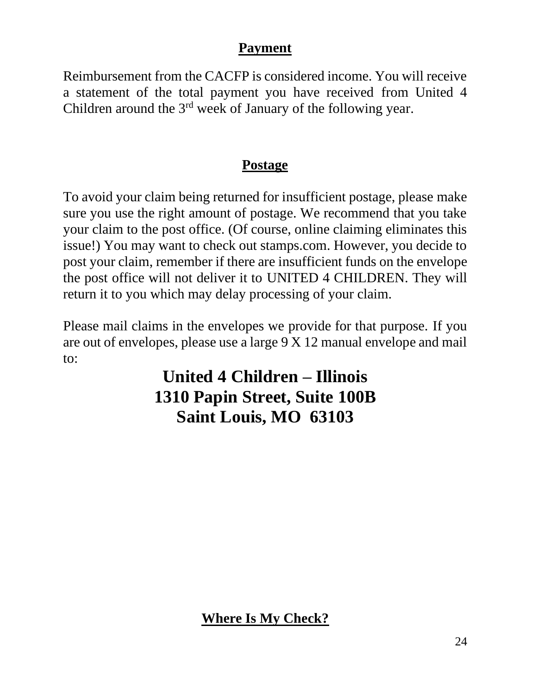#### **Payment**

Reimbursement from the CACFP is considered income. You will receive a statement of the total payment you have received from United 4 Children around the 3<sup>rd</sup> week of January of the following year.

# **Postage**

To avoid your claim being returned for insufficient postage, please make sure you use the right amount of postage. We recommend that you take your claim to the post office. (Of course, online claiming eliminates this issue!) You may want to check out stamps.com. However, you decide to post your claim, remember if there are insufficient funds on the envelope the post office will not deliver it to UNITED 4 CHILDREN. They will return it to you which may delay processing of your claim.

Please mail claims in the envelopes we provide for that purpose. If you are out of envelopes, please use a large 9 X 12 manual envelope and mail to:

# **United 4 Children – Illinois 1310 Papin Street, Suite 100B Saint Louis, MO 63103**

**Where Is My Check?**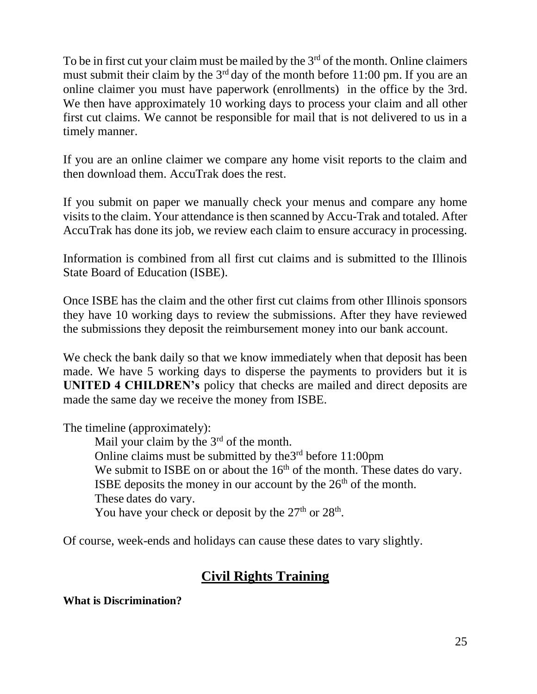To be in first cut your claim must be mailed by the  $3<sup>rd</sup>$  of the month. Online claimers must submit their claim by the  $3<sup>rd</sup>$  day of the month before 11:00 pm. If you are an online claimer you must have paperwork (enrollments) in the office by the 3rd. We then have approximately 10 working days to process your claim and all other first cut claims. We cannot be responsible for mail that is not delivered to us in a timely manner.

If you are an online claimer we compare any home visit reports to the claim and then download them. AccuTrak does the rest.

If you submit on paper we manually check your menus and compare any home visits to the claim. Your attendance is then scanned by Accu-Trak and totaled. After AccuTrak has done its job, we review each claim to ensure accuracy in processing.

Information is combined from all first cut claims and is submitted to the Illinois State Board of Education (ISBE).

Once ISBE has the claim and the other first cut claims from other Illinois sponsors they have 10 working days to review the submissions. After they have reviewed the submissions they deposit the reimbursement money into our bank account.

We check the bank daily so that we know immediately when that deposit has been made. We have 5 working days to disperse the payments to providers but it is **UNITED 4 CHILDREN's** policy that checks are mailed and direct deposits are made the same day we receive the money from ISBE.

The timeline (approximately):

Mail your claim by the 3<sup>rd</sup> of the month. Online claims must be submitted by the  $3<sup>rd</sup>$  before 11:00pm We submit to ISBE on or about the  $16<sup>th</sup>$  of the month. These dates do vary. ISBE deposits the money in our account by the  $26<sup>th</sup>$  of the month. These dates do vary. You have your check or deposit by the  $27<sup>th</sup>$  or  $28<sup>th</sup>$ .

Of course, week-ends and holidays can cause these dates to vary slightly.

# **Civil Rights Training**

**What is Discrimination?**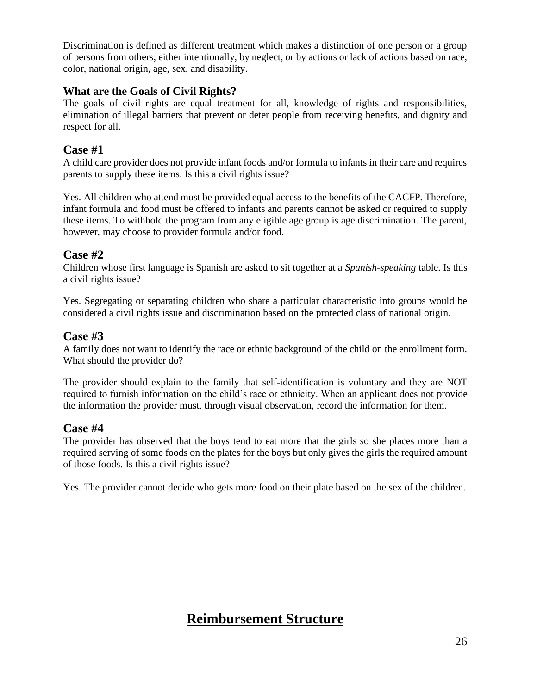Discrimination is defined as different treatment which makes a distinction of one person or a group of persons from others; either intentionally, by neglect, or by actions or lack of actions based on race, color, national origin, age, sex, and disability.

#### **What are the Goals of Civil Rights?**

The goals of civil rights are equal treatment for all, knowledge of rights and responsibilities, elimination of illegal barriers that prevent or deter people from receiving benefits, and dignity and respect for all.

#### **Case #1**

A child care provider does not provide infant foods and/or formula to infants in their care and requires parents to supply these items. Is this a civil rights issue?

Yes. All children who attend must be provided equal access to the benefits of the CACFP. Therefore, infant formula and food must be offered to infants and parents cannot be asked or required to supply these items. To withhold the program from any eligible age group is age discrimination. The parent, however, may choose to provider formula and/or food.

#### **Case #2**

Children whose first language is Spanish are asked to sit together at a *Spanish-speaking* table. Is this a civil rights issue?

Yes. Segregating or separating children who share a particular characteristic into groups would be considered a civil rights issue and discrimination based on the protected class of national origin.

#### **Case #3**

A family does not want to identify the race or ethnic background of the child on the enrollment form. What should the provider do?

The provider should explain to the family that self-identification is voluntary and they are NOT required to furnish information on the child's race or ethnicity. When an applicant does not provide the information the provider must, through visual observation, record the information for them.

#### **Case #4**

The provider has observed that the boys tend to eat more that the girls so she places more than a required serving of some foods on the plates for the boys but only gives the girls the required amount of those foods. Is this a civil rights issue?

Yes. The provider cannot decide who gets more food on their plate based on the sex of the children.

#### **Reimbursement Structure**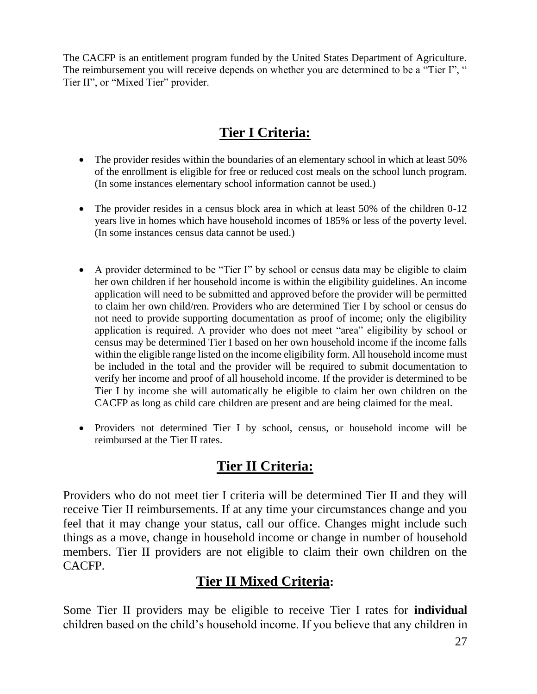The CACFP is an entitlement program funded by the United States Department of Agriculture. The reimbursement you will receive depends on whether you are determined to be a "Tier I", " Tier II", or "Mixed Tier" provider.

# **Tier I Criteria:**

- The provider resides within the boundaries of an elementary school in which at least 50% of the enrollment is eligible for free or reduced cost meals on the school lunch program. (In some instances elementary school information cannot be used.)
- The provider resides in a census block area in which at least 50% of the children 0-12 years live in homes which have household incomes of 185% or less of the poverty level. (In some instances census data cannot be used.)
- A provider determined to be "Tier I" by school or census data may be eligible to claim her own children if her household income is within the eligibility guidelines. An income application will need to be submitted and approved before the provider will be permitted to claim her own child/ren. Providers who are determined Tier I by school or census do not need to provide supporting documentation as proof of income; only the eligibility application is required. A provider who does not meet "area" eligibility by school or census may be determined Tier I based on her own household income if the income falls within the eligible range listed on the income eligibility form. All household income must be included in the total and the provider will be required to submit documentation to verify her income and proof of all household income. If the provider is determined to be Tier I by income she will automatically be eligible to claim her own children on the CACFP as long as child care children are present and are being claimed for the meal.
- Providers not determined Tier I by school, census, or household income will be reimbursed at the Tier II rates.

#### **Tier II Criteria:**

Providers who do not meet tier I criteria will be determined Tier II and they will receive Tier II reimbursements. If at any time your circumstances change and you feel that it may change your status, call our office. Changes might include such things as a move, change in household income or change in number of household members. Tier II providers are not eligible to claim their own children on the CACFP.

#### **Tier II Mixed Criteria:**

Some Tier II providers may be eligible to receive Tier I rates for **individual** children based on the child's household income. If you believe that any children in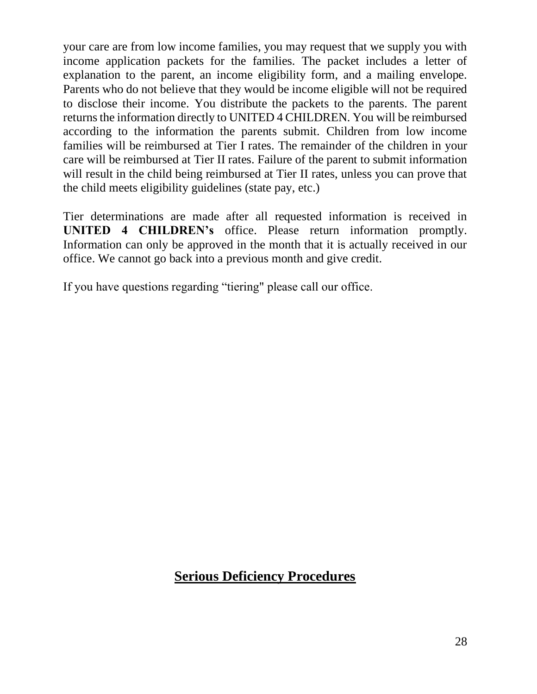your care are from low income families, you may request that we supply you with income application packets for the families. The packet includes a letter of explanation to the parent, an income eligibility form, and a mailing envelope. Parents who do not believe that they would be income eligible will not be required to disclose their income. You distribute the packets to the parents. The parent returns the information directly to UNITED 4 CHILDREN. You will be reimbursed according to the information the parents submit. Children from low income families will be reimbursed at Tier I rates. The remainder of the children in your care will be reimbursed at Tier II rates. Failure of the parent to submit information will result in the child being reimbursed at Tier II rates, unless you can prove that the child meets eligibility guidelines (state pay, etc.)

Tier determinations are made after all requested information is received in **UNITED 4 CHILDREN's** office. Please return information promptly. Information can only be approved in the month that it is actually received in our office. We cannot go back into a previous month and give credit.

If you have questions regarding "tiering" please call our office.

#### **Serious Deficiency Procedures**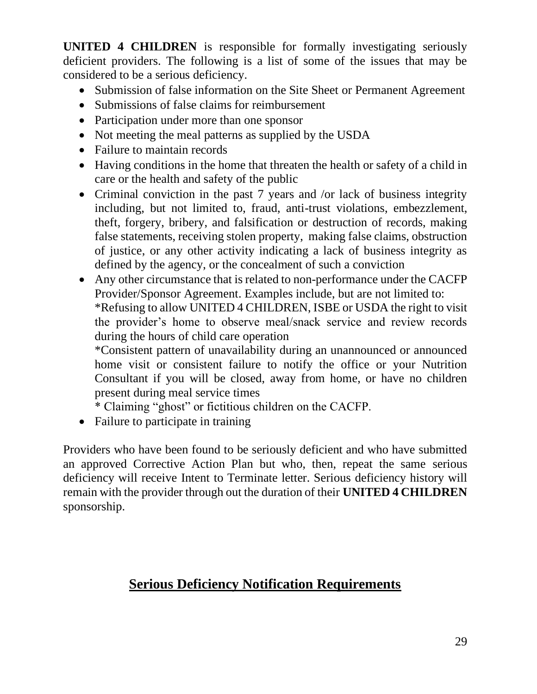**UNITED 4 CHILDREN** is responsible for formally investigating seriously deficient providers. The following is a list of some of the issues that may be considered to be a serious deficiency.

- Submission of false information on the Site Sheet or Permanent Agreement
- Submissions of false claims for reimbursement
- Participation under more than one sponsor
- Not meeting the meal patterns as supplied by the USDA
- Failure to maintain records
- Having conditions in the home that threaten the health or safety of a child in care or the health and safety of the public
- Criminal conviction in the past 7 years and /or lack of business integrity including, but not limited to, fraud, anti-trust violations, embezzlement, theft, forgery, bribery, and falsification or destruction of records, making false statements, receiving stolen property, making false claims, obstruction of justice, or any other activity indicating a lack of business integrity as defined by the agency, or the concealment of such a conviction
- Any other circumstance that is related to non-performance under the CACFP Provider/Sponsor Agreement. Examples include, but are not limited to: \*Refusing to allow UNITED 4 CHILDREN, ISBE or USDA the right to visit the provider's home to observe meal/snack service and review records during the hours of child care operation

\*Consistent pattern of unavailability during an unannounced or announced home visit or consistent failure to notify the office or your Nutrition Consultant if you will be closed, away from home, or have no children present during meal service times

\* Claiming "ghost" or fictitious children on the CACFP.

• Failure to participate in training

Providers who have been found to be seriously deficient and who have submitted an approved Corrective Action Plan but who, then, repeat the same serious deficiency will receive Intent to Terminate letter. Serious deficiency history will remain with the provider through out the duration of their **UNITED 4 CHILDREN** sponsorship.

# **Serious Deficiency Notification Requirements**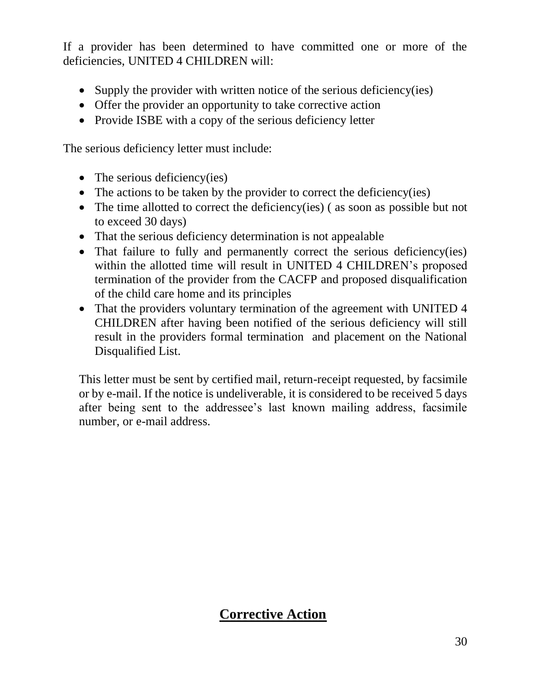If a provider has been determined to have committed one or more of the deficiencies, UNITED 4 CHILDREN will:

- Supply the provider with written notice of the serious deficiency(ies)
- Offer the provider an opportunity to take corrective action
- Provide ISBE with a copy of the serious deficiency letter

The serious deficiency letter must include:

- The serious deficiency(ies)
- The actions to be taken by the provider to correct the deficiency(ies)
- The time allotted to correct the deficiency(ies) (as soon as possible but not to exceed 30 days)
- That the serious deficiency determination is not appealable
- That failure to fully and permanently correct the serious deficiency(ies) within the allotted time will result in UNITED 4 CHILDREN's proposed termination of the provider from the CACFP and proposed disqualification of the child care home and its principles
- That the providers voluntary termination of the agreement with UNITED 4 CHILDREN after having been notified of the serious deficiency will still result in the providers formal termination and placement on the National Disqualified List.

This letter must be sent by certified mail, return-receipt requested, by facsimile or by e-mail. If the notice is undeliverable, it is considered to be received 5 days after being sent to the addressee's last known mailing address, facsimile number, or e-mail address.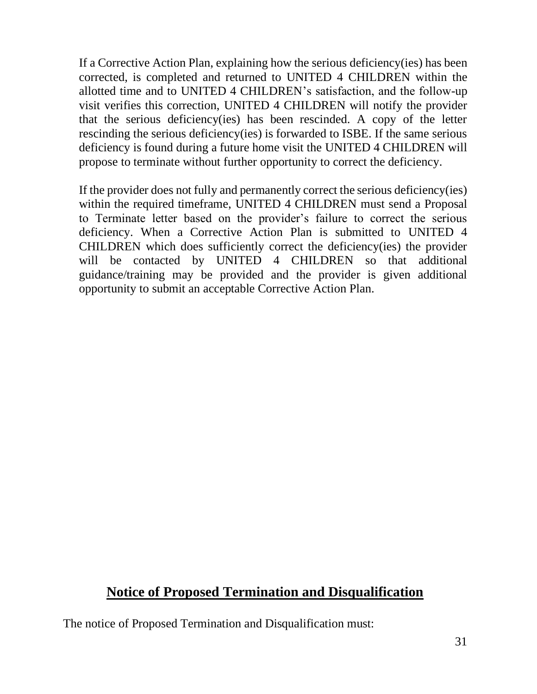If a Corrective Action Plan, explaining how the serious deficiency(ies) has been corrected, is completed and returned to UNITED 4 CHILDREN within the allotted time and to UNITED 4 CHILDREN's satisfaction, and the follow-up visit verifies this correction, UNITED 4 CHILDREN will notify the provider that the serious deficiency(ies) has been rescinded. A copy of the letter rescinding the serious deficiency(ies) is forwarded to ISBE. If the same serious deficiency is found during a future home visit the UNITED 4 CHILDREN will propose to terminate without further opportunity to correct the deficiency.

If the provider does not fully and permanently correct the serious deficiency(ies) within the required timeframe, UNITED 4 CHILDREN must send a Proposal to Terminate letter based on the provider's failure to correct the serious deficiency. When a Corrective Action Plan is submitted to UNITED 4 CHILDREN which does sufficiently correct the deficiency(ies) the provider will be contacted by UNITED 4 CHILDREN so that additional guidance/training may be provided and the provider is given additional opportunity to submit an acceptable Corrective Action Plan.

#### **Notice of Proposed Termination and Disqualification**

The notice of Proposed Termination and Disqualification must: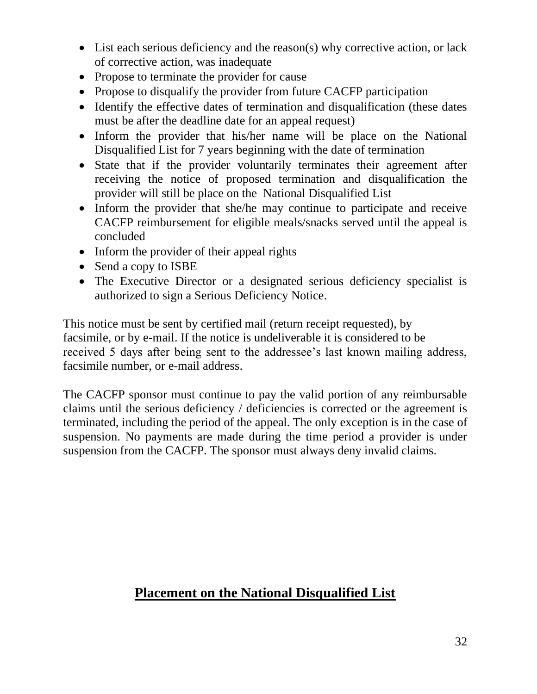- List each serious deficiency and the reason(s) why corrective action, or lack of corrective action, was inadequate
- Propose to terminate the provider for cause
- Propose to disqualify the provider from future CACFP participation
- Identify the effective dates of termination and disqualification (these dates must be after the deadline date for an appeal request)
- Inform the provider that his/her name will be place on the National Disqualified List for 7 years beginning with the date of termination
- State that if the provider voluntarily terminates their agreement after receiving the notice of proposed termination and disqualification the provider will still be place on the National Disqualified List
- Inform the provider that she/he may continue to participate and receive CACFP reimbursement for eligible meals/snacks served until the appeal is concluded
- Inform the provider of their appeal rights
- Send a copy to ISBE
- The Executive Director or a designated serious deficiency specialist is authorized to sign a Serious Deficiency Notice.

This notice must be sent by certified mail (return receipt requested), by facsimile, or by e-mail. If the notice is undeliverable it is considered to be received 5 days after being sent to the addressee's last known mailing address, facsimile number, or e-mail address.

The CACFP sponsor must continue to pay the valid portion of any reimbursable claims until the serious deficiency / deficiencies is corrected or the agreement is terminated, including the period of the appeal. The only exception is in the case of suspension. No payments are made during the time period a provider is under suspension from the CACFP. The sponsor must always deny invalid claims.

# **Placement on the National Disqualified List**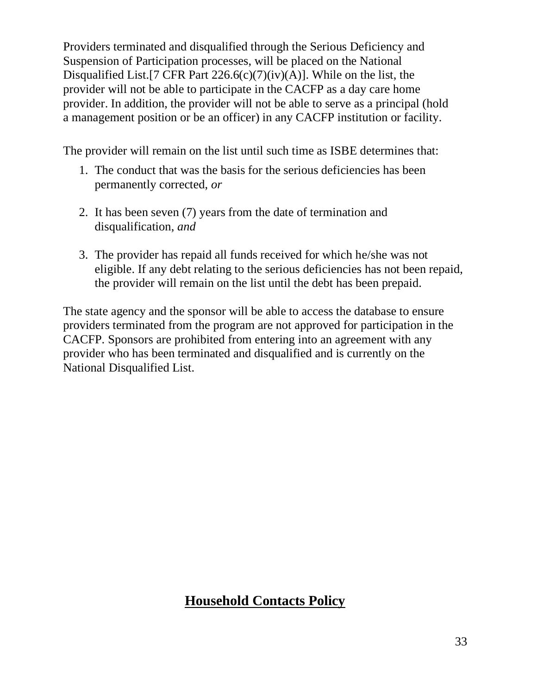Providers terminated and disqualified through the Serious Deficiency and Suspension of Participation processes, will be placed on the National Disqualified List.[7 CFR Part  $226.6(c)(7)(iv)(A)$ ]. While on the list, the provider will not be able to participate in the CACFP as a day care home provider. In addition, the provider will not be able to serve as a principal (hold a management position or be an officer) in any CACFP institution or facility.

The provider will remain on the list until such time as ISBE determines that:

- 1. The conduct that was the basis for the serious deficiencies has been permanently corrected, *or*
- 2. It has been seven (7) years from the date of termination and disqualification, *and*
- 3. The provider has repaid all funds received for which he/she was not eligible. If any debt relating to the serious deficiencies has not been repaid, the provider will remain on the list until the debt has been prepaid.

The state agency and the sponsor will be able to access the database to ensure providers terminated from the program are not approved for participation in the CACFP. Sponsors are prohibited from entering into an agreement with any provider who has been terminated and disqualified and is currently on the National Disqualified List.

# **Household Contacts Policy**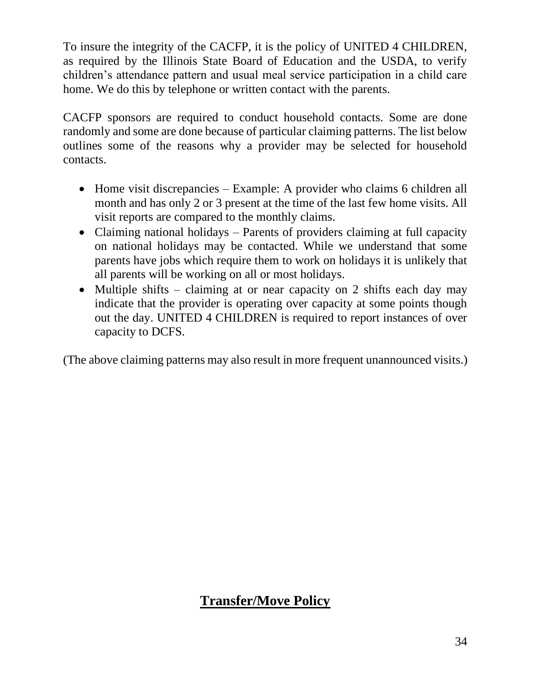To insure the integrity of the CACFP, it is the policy of UNITED 4 CHILDREN, as required by the Illinois State Board of Education and the USDA, to verify children's attendance pattern and usual meal service participation in a child care home. We do this by telephone or written contact with the parents.

CACFP sponsors are required to conduct household contacts. Some are done randomly and some are done because of particular claiming patterns. The list below outlines some of the reasons why a provider may be selected for household contacts.

- Home visit discrepancies Example: A provider who claims 6 children all month and has only 2 or 3 present at the time of the last few home visits. All visit reports are compared to the monthly claims.
- Claiming national holidays Parents of providers claiming at full capacity on national holidays may be contacted. While we understand that some parents have jobs which require them to work on holidays it is unlikely that all parents will be working on all or most holidays.
- Multiple shifts claiming at or near capacity on 2 shifts each day may indicate that the provider is operating over capacity at some points though out the day. UNITED 4 CHILDREN is required to report instances of over capacity to DCFS.

(The above claiming patterns may also result in more frequent unannounced visits.)

# **Transfer/Move Policy**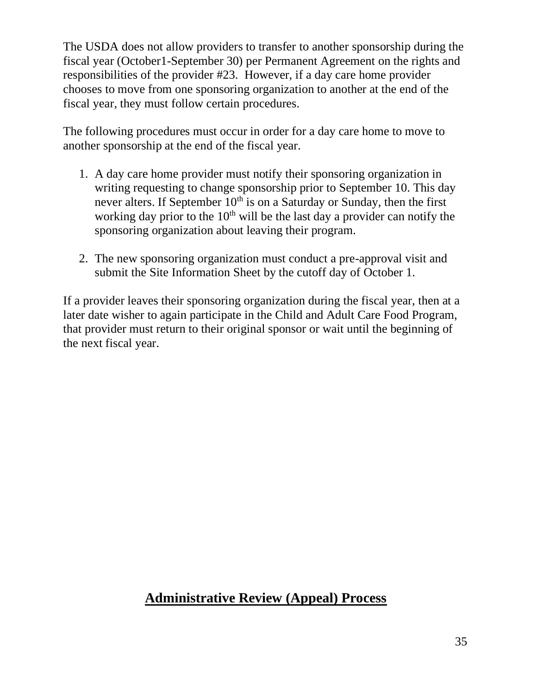The USDA does not allow providers to transfer to another sponsorship during the fiscal year (October1-September 30) per Permanent Agreement on the rights and responsibilities of the provider #23. However, if a day care home provider chooses to move from one sponsoring organization to another at the end of the fiscal year, they must follow certain procedures.

The following procedures must occur in order for a day care home to move to another sponsorship at the end of the fiscal year.

- 1. A day care home provider must notify their sponsoring organization in writing requesting to change sponsorship prior to September 10. This day never alters. If September  $10<sup>th</sup>$  is on a Saturday or Sunday, then the first working day prior to the  $10<sup>th</sup>$  will be the last day a provider can notify the sponsoring organization about leaving their program.
- 2. The new sponsoring organization must conduct a pre-approval visit and submit the Site Information Sheet by the cutoff day of October 1.

If a provider leaves their sponsoring organization during the fiscal year, then at a later date wisher to again participate in the Child and Adult Care Food Program, that provider must return to their original sponsor or wait until the beginning of the next fiscal year.

#### **Administrative Review (Appeal) Process**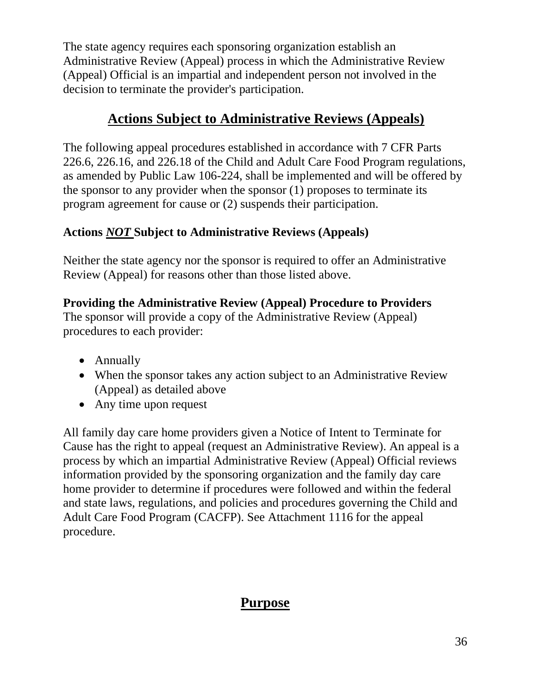The state agency requires each sponsoring organization establish an Administrative Review (Appeal) process in which the Administrative Review (Appeal) Official is an impartial and independent person not involved in the decision to terminate the provider's participation.

# **Actions Subject to Administrative Reviews (Appeals)**

The following appeal procedures established in accordance with 7 CFR Parts 226.6, 226.16, and 226.18 of the Child and Adult Care Food Program regulations, as amended by Public Law 106-224, shall be implemented and will be offered by the sponsor to any provider when the sponsor (1) proposes to terminate its program agreement for cause or (2) suspends their participation.

#### **Actions** *NOT* **Subject to Administrative Reviews (Appeals)**

Neither the state agency nor the sponsor is required to offer an Administrative Review (Appeal) for reasons other than those listed above.

#### **Providing the Administrative Review (Appeal) Procedure to Providers**

The sponsor will provide a copy of the Administrative Review (Appeal) procedures to each provider:

- Annually
- When the sponsor takes any action subject to an Administrative Review (Appeal) as detailed above
- Any time upon request

All family day care home providers given a Notice of Intent to Terminate for Cause has the right to appeal (request an Administrative Review). An appeal is a process by which an impartial Administrative Review (Appeal) Official reviews information provided by the sponsoring organization and the family day care home provider to determine if procedures were followed and within the federal and state laws, regulations, and policies and procedures governing the Child and Adult Care Food Program (CACFP). See Attachment 1116 for the appeal procedure.

# **Purpose**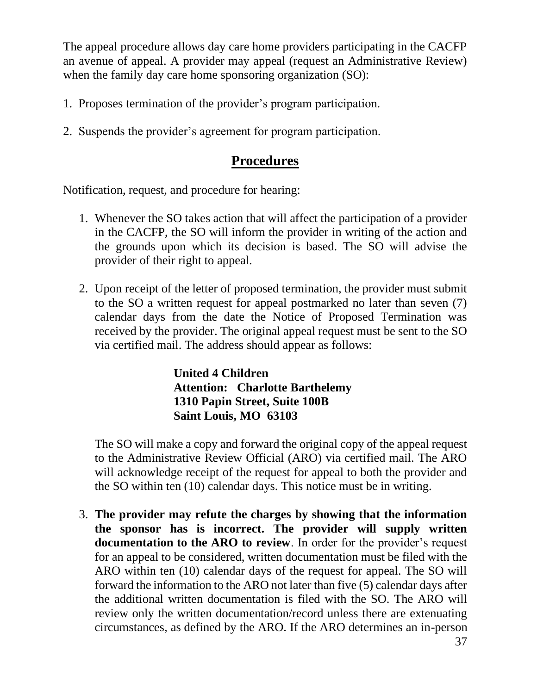The appeal procedure allows day care home providers participating in the CACFP an avenue of appeal. A provider may appeal (request an Administrative Review) when the family day care home sponsoring organization (SO):

- 1. Proposes termination of the provider's program participation.
- 2. Suspends the provider's agreement for program participation.

#### **Procedures**

Notification, request, and procedure for hearing:

- 1. Whenever the SO takes action that will affect the participation of a provider in the CACFP, the SO will inform the provider in writing of the action and the grounds upon which its decision is based. The SO will advise the provider of their right to appeal.
- 2. Upon receipt of the letter of proposed termination, the provider must submit to the SO a written request for appeal postmarked no later than seven (7) calendar days from the date the Notice of Proposed Termination was received by the provider. The original appeal request must be sent to the SO via certified mail. The address should appear as follows:

**United 4 Children Attention: Charlotte Barthelemy 1310 Papin Street, Suite 100B Saint Louis, MO 63103**

The SO will make a copy and forward the original copy of the appeal request to the Administrative Review Official (ARO) via certified mail. The ARO will acknowledge receipt of the request for appeal to both the provider and the SO within ten (10) calendar days. This notice must be in writing.

3. **The provider may refute the charges by showing that the information the sponsor has is incorrect. The provider will supply written documentation to the ARO to review**. In order for the provider's request for an appeal to be considered, written documentation must be filed with the ARO within ten (10) calendar days of the request for appeal. The SO will forward the information to the ARO not later than five (5) calendar days after the additional written documentation is filed with the SO. The ARO will review only the written documentation/record unless there are extenuating circumstances, as defined by the ARO. If the ARO determines an in-person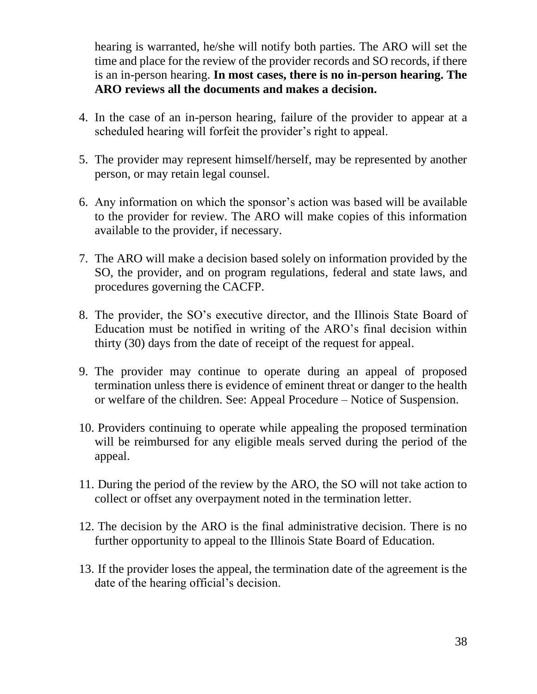hearing is warranted, he/she will notify both parties. The ARO will set the time and place for the review of the provider records and SO records, if there is an in-person hearing. **In most cases, there is no in-person hearing. The ARO reviews all the documents and makes a decision.** 

- 4. In the case of an in-person hearing, failure of the provider to appear at a scheduled hearing will forfeit the provider's right to appeal.
- 5. The provider may represent himself/herself, may be represented by another person, or may retain legal counsel.
- 6. Any information on which the sponsor's action was based will be available to the provider for review. The ARO will make copies of this information available to the provider, if necessary.
- 7. The ARO will make a decision based solely on information provided by the SO, the provider, and on program regulations, federal and state laws, and procedures governing the CACFP.
- 8. The provider, the SO's executive director, and the Illinois State Board of Education must be notified in writing of the ARO's final decision within thirty (30) days from the date of receipt of the request for appeal.
- 9. The provider may continue to operate during an appeal of proposed termination unless there is evidence of eminent threat or danger to the health or welfare of the children. See: Appeal Procedure – Notice of Suspension.
- 10. Providers continuing to operate while appealing the proposed termination will be reimbursed for any eligible meals served during the period of the appeal.
- 11. During the period of the review by the ARO, the SO will not take action to collect or offset any overpayment noted in the termination letter.
- 12. The decision by the ARO is the final administrative decision. There is no further opportunity to appeal to the Illinois State Board of Education.
- 13. If the provider loses the appeal, the termination date of the agreement is the date of the hearing official's decision.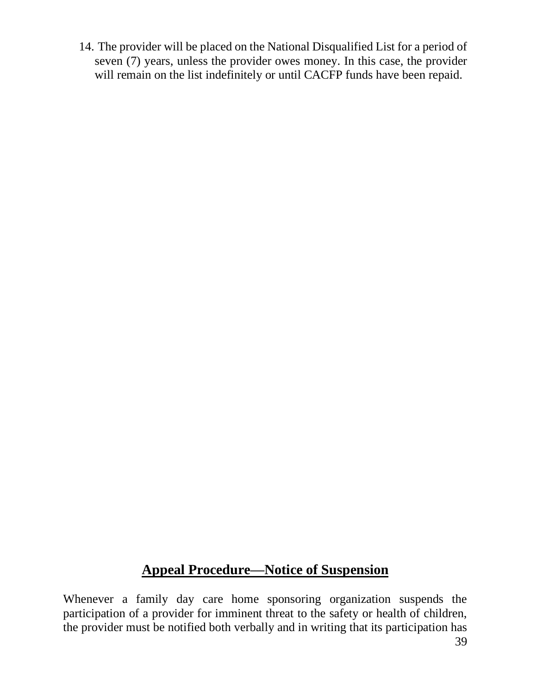14. The provider will be placed on the National Disqualified List for a period of seven (7) years, unless the provider owes money. In this case, the provider will remain on the list indefinitely or until CACFP funds have been repaid.

# **Appeal Procedure—Notice of Suspension**

Whenever a family day care home sponsoring organization suspends the participation of a provider for imminent threat to the safety or health of children, the provider must be notified both verbally and in writing that its participation has